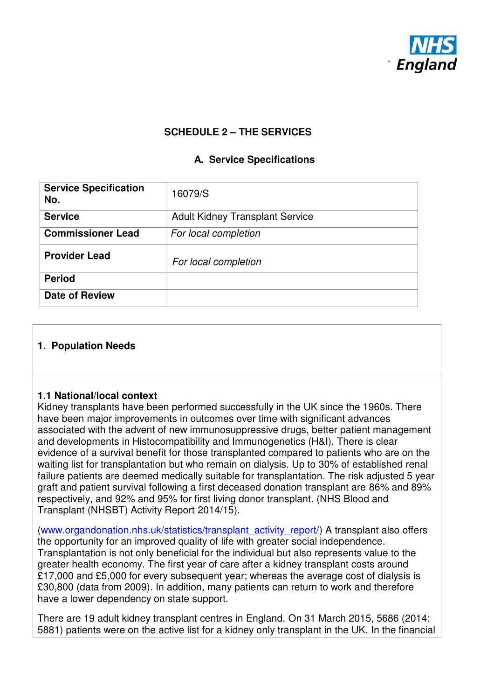

## **SCHEDULE 2 – THE SERVICES**

## **A. Service Specifications**

| <b>Service Specification</b><br>No. | 16079/S                                |  |  |  |
|-------------------------------------|----------------------------------------|--|--|--|
| <b>Service</b>                      | <b>Adult Kidney Transplant Service</b> |  |  |  |
| <b>Commissioner Lead</b>            | For local completion                   |  |  |  |
| <b>Provider Lead</b>                | For local completion                   |  |  |  |
| <b>Period</b>                       |                                        |  |  |  |
| <b>Date of Review</b>               |                                        |  |  |  |

#### **1. Population Needs**

#### **1.1 National/local context**

Kidney transplants have been performed successfully in the UK since the 1960s. There have been major improvements in outcomes over time with significant advances associated with the advent of new immunosuppressive drugs, better patient management and developments in Histocompatibility and Immunogenetics (H&I). There is clear evidence of a survival benefit for those transplanted compared to patients who are on the waiting list for transplantation but who remain on dialysis. Up to 30% of established renal failure patients are deemed medically suitable for transplantation. The risk adjusted 5 year graft and patient survival following a first deceased donation transplant are 86% and 89% respectively, and 92% and 95% for first living donor transplant. (NHS Blood and Transplant (NHSBT) Activity Report 2014/15).

(www.organdonation.nhs.uk/statistics/transplant\_activity\_report/) A transplant also offers the opportunity for an improved quality of life with greater social independence. Transplantation is not only beneficial for the individual but also represents value to the greater health economy. The first year of care after a kidney transplant costs around £17,000 and £5,000 for every subsequent year; whereas the average cost of dialysis is £30,800 (data from 2009). In addition, many patients can return to work and therefore have a lower dependency on state support.

There are 19 adult kidney transplant centres in England. On 31 March 2015, 5686 (2014: 5881) patients were on the active list for a kidney only transplant in the UK. In the financial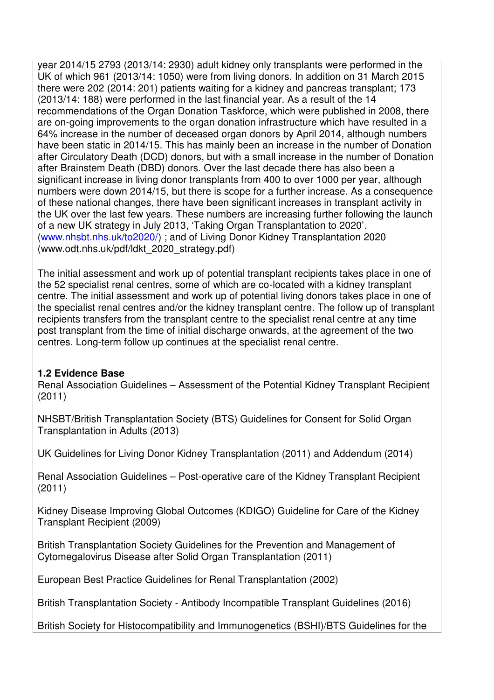year 2014/15 2793 (2013/14: 2930) adult kidney only transplants were performed in the UK of which 961 (2013/14: 1050) were from living donors. In addition on 31 March 2015 there were 202 (2014: 201) patients waiting for a kidney and pancreas transplant; 173 (2013/14: 188) were performed in the last financial year. As a result of the 14 recommendations of the Organ Donation Taskforce, which were published in 2008, there are on-going improvements to the organ donation infrastructure which have resulted in a 64% increase in the number of deceased organ donors by April 2014, although numbers have been static in 2014/15. This has mainly been an increase in the number of Donation after Circulatory Death (DCD) donors, but with a small increase in the number of Donation after Brainstem Death (DBD) donors. Over the last decade there has also been a significant increase in living donor transplants from 400 to over 1000 per year, although numbers were down 2014/15, but there is scope for a further increase. As a consequence of these national changes, there have been significant increases in transplant activity in the UK over the last few years. These numbers are increasing further following the launch of a new UK strategy in July 2013, 'Taking Organ Transplantation to 2020'. (www.nhsbt.nhs.uk/to2020/) ; and of Living Donor Kidney Transplantation 2020 (www.odt.nhs.uk/pdf/ldkt\_2020\_strategy.pdf)

The initial assessment and work up of potential transplant recipients takes place in one of the 52 specialist renal centres, some of which are co-located with a kidney transplant centre. The initial assessment and work up of potential living donors takes place in one of the specialist renal centres and/or the kidney transplant centre. The follow up of transplant recipients transfers from the transplant centre to the specialist renal centre at any time post transplant from the time of initial discharge onwards, at the agreement of the two centres. Long-term follow up continues at the specialist renal centre.

## **1.2 Evidence Base**

Renal Association Guidelines – Assessment of the Potential Kidney Transplant Recipient (2011)

NHSBT/British Transplantation Society (BTS) Guidelines for Consent for Solid Organ Transplantation in Adults (2013)

UK Guidelines for Living Donor Kidney Transplantation (2011) and Addendum (2014)

Renal Association Guidelines – Post-operative care of the Kidney Transplant Recipient (2011)

Kidney Disease Improving Global Outcomes (KDIGO) Guideline for Care of the Kidney Transplant Recipient (2009)

British Transplantation Society Guidelines for the Prevention and Management of Cytomegalovirus Disease after Solid Organ Transplantation (2011)

European Best Practice Guidelines for Renal Transplantation (2002)

British Transplantation Society - Antibody Incompatible Transplant Guidelines (2016)

British Society for Histocompatibility and Immunogenetics (BSHI)/BTS Guidelines for the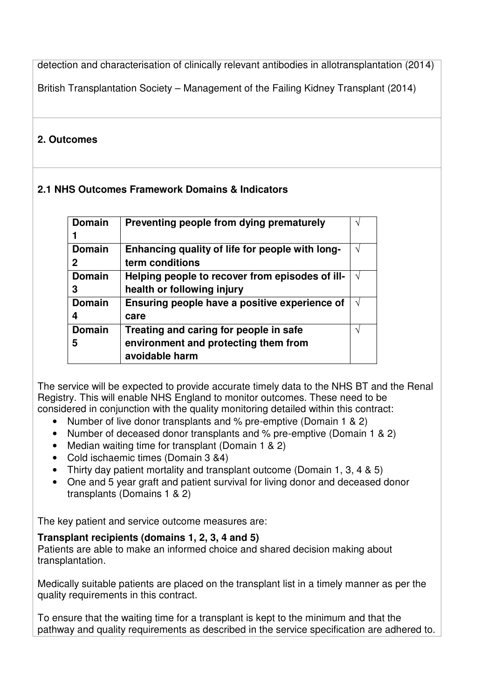detection and characterisation of clinically relevant antibodies in allotransplantation (2014)

British Transplantation Society – Management of the Failing Kidney Transplant (2014)

# **2. Outcomes**

# **2.1 NHS Outcomes Framework Domains & Indicators**

| <b>Domain</b> | Preventing people from dying prematurely        |   |
|---------------|-------------------------------------------------|---|
|               |                                                 |   |
| <b>Domain</b> | Enhancing quality of life for people with long- | J |
| 2             | term conditions                                 |   |
| <b>Domain</b> | Helping people to recover from episodes of ill- | V |
| 3             | health or following injury                      |   |
| <b>Domain</b> | Ensuring people have a positive experience of   | J |
| 4             | care                                            |   |
| <b>Domain</b> | Treating and caring for people in safe          | ٦ |
| 5             | environment and protecting them from            |   |
|               | avoidable harm                                  |   |

The service will be expected to provide accurate timely data to the NHS BT and the Renal Registry. This will enable NHS England to monitor outcomes. These need to be considered in conjunction with the quality monitoring detailed within this contract:

- Number of live donor transplants and % pre-emptive (Domain 1 & 2)
- Number of deceased donor transplants and % pre-emptive (Domain 1 & 2)
- Median waiting time for transplant (Domain 1 & 2)
- Cold ischaemic times (Domain 3 &4)
- Thirty day patient mortality and transplant outcome (Domain 1, 3, 4 & 5)
- One and 5 year graft and patient survival for living donor and deceased donor transplants (Domains 1 & 2)

The key patient and service outcome measures are:

## **Transplant recipients (domains 1, 2, 3, 4 and 5)**

Patients are able to make an informed choice and shared decision making about transplantation.

Medically suitable patients are placed on the transplant list in a timely manner as per the quality requirements in this contract.

To ensure that the waiting time for a transplant is kept to the minimum and that the pathway and quality requirements as described in the service specification are adhered to.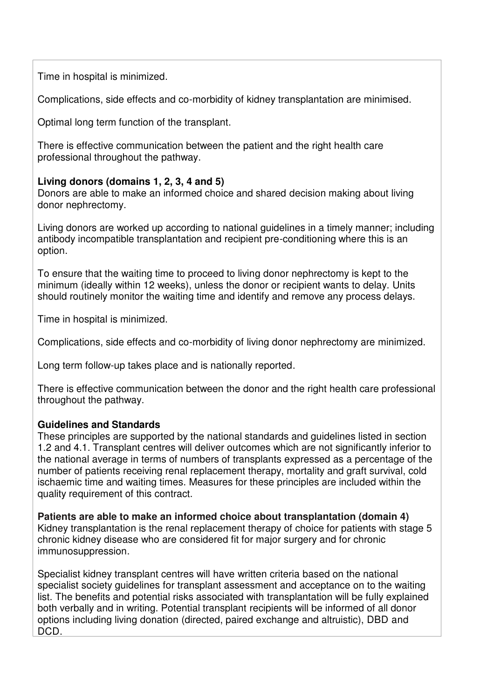Time in hospital is minimized.

Complications, side effects and co-morbidity of kidney transplantation are minimised.

Optimal long term function of the transplant.

There is effective communication between the patient and the right health care professional throughout the pathway.

## **Living donors (domains 1, 2, 3, 4 and 5)**

Donors are able to make an informed choice and shared decision making about living donor nephrectomy.

Living donors are worked up according to national guidelines in a timely manner; including antibody incompatible transplantation and recipient pre-conditioning where this is an option.

To ensure that the waiting time to proceed to living donor nephrectomy is kept to the minimum (ideally within 12 weeks), unless the donor or recipient wants to delay. Units should routinely monitor the waiting time and identify and remove any process delays.

Time in hospital is minimized.

Complications, side effects and co-morbidity of living donor nephrectomy are minimized.

Long term follow-up takes place and is nationally reported.

There is effective communication between the donor and the right health care professional throughout the pathway.

## **Guidelines and Standards**

These principles are supported by the national standards and guidelines listed in section 1.2 and 4.1. Transplant centres will deliver outcomes which are not significantly inferior to the national average in terms of numbers of transplants expressed as a percentage of the number of patients receiving renal replacement therapy, mortality and graft survival, cold ischaemic time and waiting times. Measures for these principles are included within the quality requirement of this contract.

**Patients are able to make an informed choice about transplantation (domain 4)**  Kidney transplantation is the renal replacement therapy of choice for patients with stage 5 chronic kidney disease who are considered fit for major surgery and for chronic immunosuppression.

Specialist kidney transplant centres will have written criteria based on the national specialist society guidelines for transplant assessment and acceptance on to the waiting list. The benefits and potential risks associated with transplantation will be fully explained both verbally and in writing. Potential transplant recipients will be informed of all donor options including living donation (directed, paired exchange and altruistic), DBD and DCD.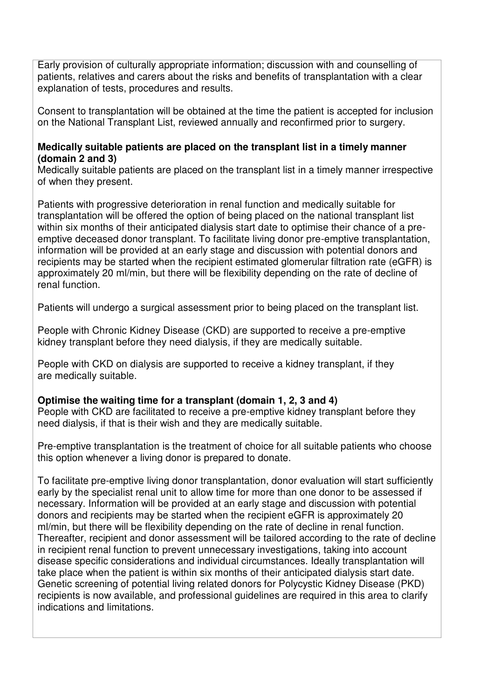Early provision of culturally appropriate information; discussion with and counselling of patients, relatives and carers about the risks and benefits of transplantation with a clear explanation of tests, procedures and results.

Consent to transplantation will be obtained at the time the patient is accepted for inclusion on the National Transplant List, reviewed annually and reconfirmed prior to surgery.

#### **Medically suitable patients are placed on the transplant list in a timely manner (domain 2 and 3)**

Medically suitable patients are placed on the transplant list in a timely manner irrespective of when they present.

Patients with progressive deterioration in renal function and medically suitable for transplantation will be offered the option of being placed on the national transplant list within six months of their anticipated dialysis start date to optimise their chance of a preemptive deceased donor transplant. To facilitate living donor pre-emptive transplantation, information will be provided at an early stage and discussion with potential donors and recipients may be started when the recipient estimated glomerular filtration rate (eGFR) is approximately 20 ml/min, but there will be flexibility depending on the rate of decline of renal function.

Patients will undergo a surgical assessment prior to being placed on the transplant list.

People with Chronic Kidney Disease (CKD) are supported to receive a pre-emptive kidney transplant before they need dialysis, if they are medically suitable.

People with CKD on dialysis are supported to receive a kidney transplant, if they are medically suitable.

## **Optimise the waiting time for a transplant (domain 1, 2, 3 and 4)**

People with CKD are facilitated to receive a pre-emptive kidney transplant before they need dialysis, if that is their wish and they are medically suitable.

Pre-emptive transplantation is the treatment of choice for all suitable patients who choose this option whenever a living donor is prepared to donate.

To facilitate pre-emptive living donor transplantation, donor evaluation will start sufficiently early by the specialist renal unit to allow time for more than one donor to be assessed if necessary. Information will be provided at an early stage and discussion with potential donors and recipients may be started when the recipient eGFR is approximately 20 ml/min, but there will be flexibility depending on the rate of decline in renal function. Thereafter, recipient and donor assessment will be tailored according to the rate of decline in recipient renal function to prevent unnecessary investigations, taking into account disease specific considerations and individual circumstances. Ideally transplantation will take place when the patient is within six months of their anticipated dialysis start date. Genetic screening of potential living related donors for Polycystic Kidney Disease (PKD) recipients is now available, and professional guidelines are required in this area to clarify indications and limitations.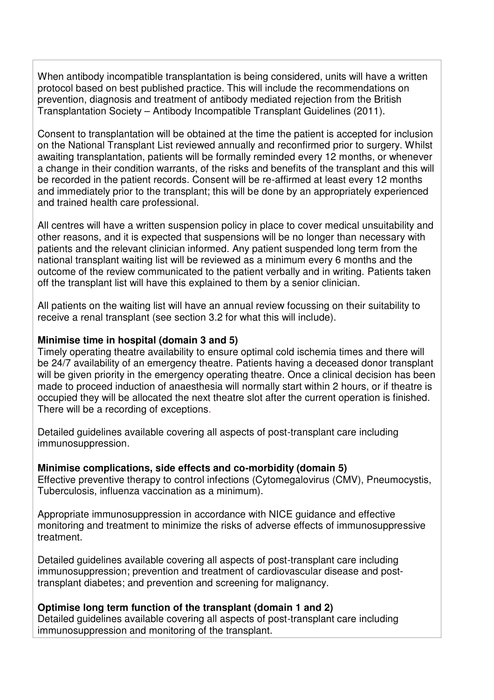When antibody incompatible transplantation is being considered, units will have a written protocol based on best published practice. This will include the recommendations on prevention, diagnosis and treatment of antibody mediated rejection from the British Transplantation Society – Antibody Incompatible Transplant Guidelines (2011).

Consent to transplantation will be obtained at the time the patient is accepted for inclusion on the National Transplant List reviewed annually and reconfirmed prior to surgery. Whilst awaiting transplantation, patients will be formally reminded every 12 months, or whenever a change in their condition warrants, of the risks and benefits of the transplant and this will be recorded in the patient records. Consent will be re-affirmed at least every 12 months and immediately prior to the transplant; this will be done by an appropriately experienced and trained health care professional.

All centres will have a written suspension policy in place to cover medical unsuitability and other reasons, and it is expected that suspensions will be no longer than necessary with patients and the relevant clinician informed. Any patient suspended long term from the national transplant waiting list will be reviewed as a minimum every 6 months and the outcome of the review communicated to the patient verbally and in writing. Patients taken off the transplant list will have this explained to them by a senior clinician.

All patients on the waiting list will have an annual review focussing on their suitability to receive a renal transplant (see section 3.2 for what this will include).

#### **Minimise time in hospital (domain 3 and 5)**

Timely operating theatre availability to ensure optimal cold ischemia times and there will be 24/7 availability of an emergency theatre. Patients having a deceased donor transplant will be given priority in the emergency operating theatre. Once a clinical decision has been made to proceed induction of anaesthesia will normally start within 2 hours, or if theatre is occupied they will be allocated the next theatre slot after the current operation is finished. There will be a recording of exceptions.

Detailed guidelines available covering all aspects of post-transplant care including immunosuppression.

#### **Minimise complications, side effects and co-morbidity (domain 5)**

Effective preventive therapy to control infections (Cytomegalovirus (CMV), Pneumocystis, Tuberculosis, influenza vaccination as a minimum).

Appropriate immunosuppression in accordance with NICE guidance and effective monitoring and treatment to minimize the risks of adverse effects of immunosuppressive treatment.

Detailed guidelines available covering all aspects of post-transplant care including immunosuppression; prevention and treatment of cardiovascular disease and posttransplant diabetes; and prevention and screening for malignancy.

## **Optimise long term function of the transplant (domain 1 and 2)**

Detailed guidelines available covering all aspects of post-transplant care including immunosuppression and monitoring of the transplant.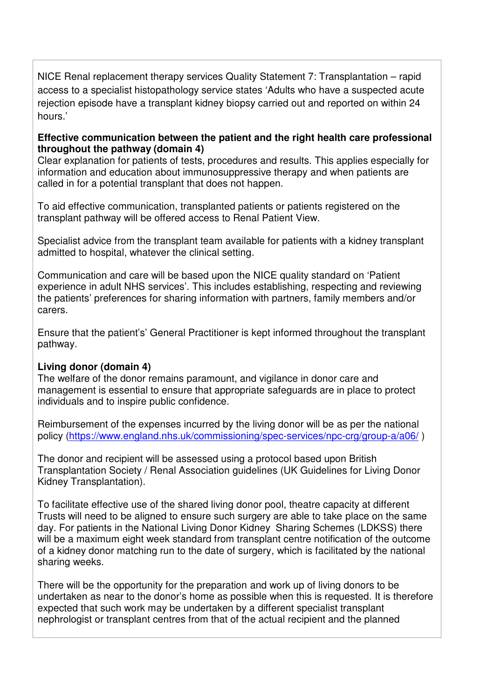NICE Renal replacement therapy services Quality Statement 7: Transplantation – rapid access to a specialist histopathology service states 'Adults who have a suspected acute rejection episode have a transplant kidney biopsy carried out and reported on within 24 hours.'

#### **Effective communication between the patient and the right health care professional throughout the pathway (domain 4)**

Clear explanation for patients of tests, procedures and results. This applies especially for information and education about immunosuppressive therapy and when patients are called in for a potential transplant that does not happen.

To aid effective communication, transplanted patients or patients registered on the transplant pathway will be offered access to Renal Patient View.

Specialist advice from the transplant team available for patients with a kidney transplant admitted to hospital, whatever the clinical setting.

Communication and care will be based upon the NICE quality standard on 'Patient experience in adult NHS services'. This includes establishing, respecting and reviewing the patients' preferences for sharing information with partners, family members and/or carers.

Ensure that the patient's' General Practitioner is kept informed throughout the transplant pathway.

#### **Living donor (domain 4)**

The welfare of the donor remains paramount, and vigilance in donor care and management is essential to ensure that appropriate safeguards are in place to protect individuals and to inspire public confidence.

Reimbursement of the expenses incurred by the living donor will be as per the national policy (https://www.england.nhs.uk/commissioning/spec-services/npc-crg/group-a/a06/ )

The donor and recipient will be assessed using a protocol based upon British Transplantation Society / Renal Association guidelines (UK Guidelines for Living Donor Kidney Transplantation).

To facilitate effective use of the shared living donor pool, theatre capacity at different Trusts will need to be aligned to ensure such surgery are able to take place on the same day. For patients in the National Living Donor Kidney Sharing Schemes (LDKSS) there will be a maximum eight week standard from transplant centre notification of the outcome of a kidney donor matching run to the date of surgery, which is facilitated by the national sharing weeks.

There will be the opportunity for the preparation and work up of living donors to be undertaken as near to the donor's home as possible when this is requested. It is therefore expected that such work may be undertaken by a different specialist transplant nephrologist or transplant centres from that of the actual recipient and the planned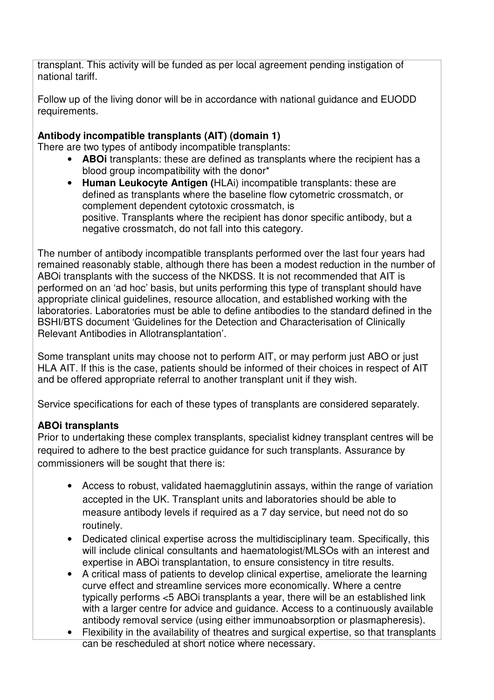transplant. This activity will be funded as per local agreement pending instigation of national tariff.

Follow up of the living donor will be in accordance with national guidance and EUODD requirements.

## **Antibody incompatible transplants (AIT) (domain 1)**

There are two types of antibody incompatible transplants:

- **ABOi** transplants: these are defined as transplants where the recipient has a blood group incompatibility with the donor\*
- **Human Leukocyte Antigen (**HLAi) incompatible transplants: these are defined as transplants where the baseline flow cytometric crossmatch, or complement dependent cytotoxic crossmatch, is positive. Transplants where the recipient has donor specific antibody, but a negative crossmatch, do not fall into this category.

The number of antibody incompatible transplants performed over the last four years had remained reasonably stable, although there has been a modest reduction in the number of ABOi transplants with the success of the NKDSS. It is not recommended that AIT is performed on an 'ad hoc' basis, but units performing this type of transplant should have appropriate clinical guidelines, resource allocation, and established working with the laboratories. Laboratories must be able to define antibodies to the standard defined in the BSHI/BTS document 'Guidelines for the Detection and Characterisation of Clinically Relevant Antibodies in Allotransplantation'.

Some transplant units may choose not to perform AIT, or may perform just ABO or just HLA AIT. If this is the case, patients should be informed of their choices in respect of AIT and be offered appropriate referral to another transplant unit if they wish.

Service specifications for each of these types of transplants are considered separately.

## **ABOi transplants**

Prior to undertaking these complex transplants, specialist kidney transplant centres will be required to adhere to the best practice guidance for such transplants. Assurance by commissioners will be sought that there is:

- Access to robust, validated haemagglutinin assays, within the range of variation accepted in the UK. Transplant units and laboratories should be able to measure antibody levels if required as a 7 day service, but need not do so routinely.
- Dedicated clinical expertise across the multidisciplinary team. Specifically, this will include clinical consultants and haematologist/MLSOs with an interest and expertise in ABOi transplantation, to ensure consistency in titre results.
- A critical mass of patients to develop clinical expertise, ameliorate the learning curve effect and streamline services more economically. Where a centre typically performs <5 ABOi transplants a year, there will be an established link with a larger centre for advice and guidance. Access to a continuously available antibody removal service (using either immunoabsorption or plasmapheresis).
- Flexibility in the availability of theatres and surgical expertise, so that transplants can be rescheduled at short notice where necessary.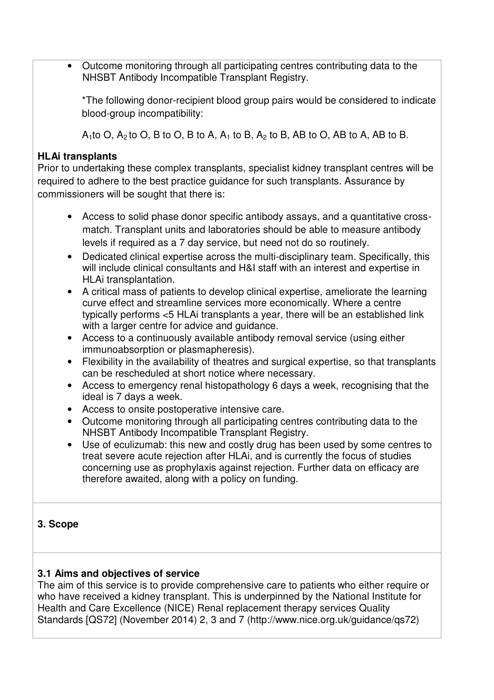• Outcome monitoring through all participating centres contributing data to the NHSBT Antibody Incompatible Transplant Registry.

\*The following donor-recipient blood group pairs would be considered to indicate blood-group incompatibility:

 $A_1$ to O,  $A_2$ to O, B to O, B to A,  $A_1$  to B,  $A_2$  to B, AB to O, AB to A, AB to B.

## **HLAi transplants**

Prior to undertaking these complex transplants, specialist kidney transplant centres will be required to adhere to the best practice guidance for such transplants. Assurance by commissioners will be sought that there is:

- Access to solid phase donor specific antibody assays, and a quantitative crossmatch. Transplant units and laboratories should be able to measure antibody levels if required as a 7 day service, but need not do so routinely.
- Dedicated clinical expertise across the multi-disciplinary team. Specifically, this will include clinical consultants and H&I staff with an interest and expertise in HLAi transplantation.
- A critical mass of patients to develop clinical expertise, ameliorate the learning curve effect and streamline services more economically. Where a centre typically performs <5 HLAi transplants a year, there will be an established link with a larger centre for advice and quidance.
- Access to a continuously available antibody removal service (using either immunoabsorption or plasmapheresis).
- Flexibility in the availability of theatres and surgical expertise, so that transplants can be rescheduled at short notice where necessary.
- Access to emergency renal histopathology 6 days a week, recognising that the ideal is 7 days a week.
- Access to onsite postoperative intensive care.
- Outcome monitoring through all participating centres contributing data to the NHSBT Antibody Incompatible Transplant Registry.
- Use of eculizumab: this new and costly drug has been used by some centres to treat severe acute rejection after HLAi, and is currently the focus of studies concerning use as prophylaxis against rejection. Further data on efficacy are therefore awaited, along with a policy on funding.

# **3. Scope**

## **3.1 Aims and objectives of service**

The aim of this service is to provide comprehensive care to patients who either require or who have received a kidney transplant. This is underpinned by the National Institute for Health and Care Excellence (NICE) Renal replacement therapy services Quality Standards [QS72] (November 2014) 2, 3 and 7 (http://www.nice.org.uk/guidance/qs72)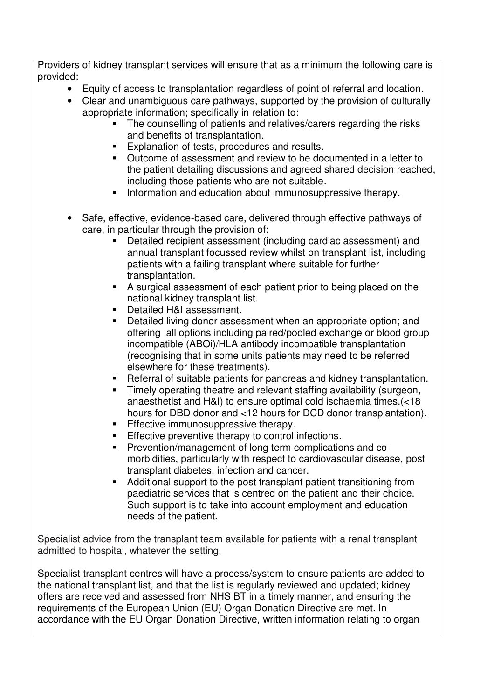Providers of kidney transplant services will ensure that as a minimum the following care is provided:

- Equity of access to transplantation regardless of point of referral and location.
- Clear and unambiguous care pathways, supported by the provision of culturally appropriate information; specifically in relation to:
	- The counselling of patients and relatives/carers regarding the risks and benefits of transplantation.
	- **Explanation of tests, procedures and results.**
	- Outcome of assessment and review to be documented in a letter to the patient detailing discussions and agreed shared decision reached, including those patients who are not suitable.
	- **Information and education about immunosuppressive therapy.**
- Safe, effective, evidence-based care, delivered through effective pathways of care, in particular through the provision of:
	- Detailed recipient assessment (including cardiac assessment) and annual transplant focussed review whilst on transplant list, including patients with a failing transplant where suitable for further transplantation.
	- A surgical assessment of each patient prior to being placed on the national kidney transplant list.
	- Detailed H&I assessment.
	- **•** Detailed living donor assessment when an appropriate option; and offering all options including paired/pooled exchange or blood group incompatible (ABOi)/HLA antibody incompatible transplantation (recognising that in some units patients may need to be referred elsewhere for these treatments).
	- Referral of suitable patients for pancreas and kidney transplantation.
	- **Timely operating theatre and relevant staffing availability (surgeon,** anaesthetist and H&I) to ensure optimal cold ischaemia times.(<18 hours for DBD donor and <12 hours for DCD donor transplantation).
	- **Effective immunosuppressive therapy.**
	- **Effective preventive therapy to control infections.**
	- Prevention/management of long term complications and comorbidities, particularly with respect to cardiovascular disease, post transplant diabetes, infection and cancer.
	- Additional support to the post transplant patient transitioning from paediatric services that is centred on the patient and their choice. Such support is to take into account employment and education needs of the patient.

Specialist advice from the transplant team available for patients with a renal transplant admitted to hospital, whatever the setting.

Specialist transplant centres will have a process/system to ensure patients are added to the national transplant list, and that the list is regularly reviewed and updated; kidney offers are received and assessed from NHS BT in a timely manner, and ensuring the requirements of the European Union (EU) Organ Donation Directive are met. In accordance with the EU Organ Donation Directive, written information relating to organ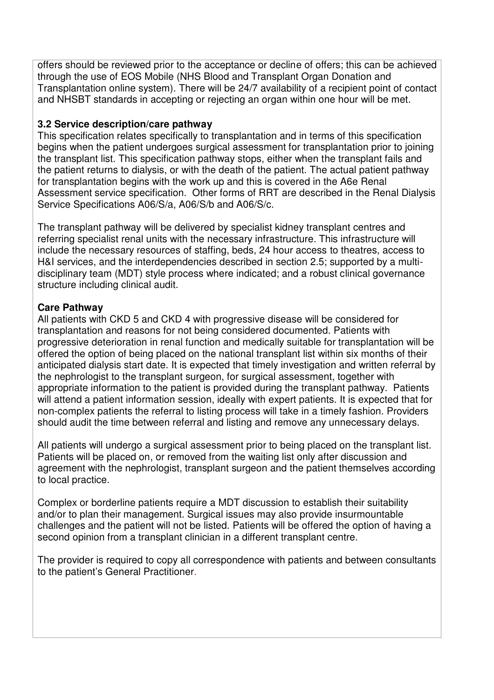offers should be reviewed prior to the acceptance or decline of offers; this can be achieved through the use of EOS Mobile (NHS Blood and Transplant Organ Donation and Transplantation online system). There will be 24/7 availability of a recipient point of contact and NHSBT standards in accepting or rejecting an organ within one hour will be met.

## **3.2 Service description/care pathway**

This specification relates specifically to transplantation and in terms of this specification begins when the patient undergoes surgical assessment for transplantation prior to joining the transplant list. This specification pathway stops, either when the transplant fails and the patient returns to dialysis, or with the death of the patient. The actual patient pathway for transplantation begins with the work up and this is covered in the A6e Renal Assessment service specification. Other forms of RRT are described in the Renal Dialysis Service Specifications A06/S/a, A06/S/b and A06/S/c.

The transplant pathway will be delivered by specialist kidney transplant centres and referring specialist renal units with the necessary infrastructure. This infrastructure will include the necessary resources of staffing, beds, 24 hour access to theatres, access to H&I services, and the interdependencies described in section 2.5; supported by a multidisciplinary team (MDT) style process where indicated; and a robust clinical governance structure including clinical audit.

#### **Care Pathway**

All patients with CKD 5 and CKD 4 with progressive disease will be considered for transplantation and reasons for not being considered documented. Patients with progressive deterioration in renal function and medically suitable for transplantation will be offered the option of being placed on the national transplant list within six months of their anticipated dialysis start date. It is expected that timely investigation and written referral by the nephrologist to the transplant surgeon, for surgical assessment, together with appropriate information to the patient is provided during the transplant pathway. Patients will attend a patient information session, ideally with expert patients. It is expected that for non-complex patients the referral to listing process will take in a timely fashion. Providers should audit the time between referral and listing and remove any unnecessary delays.

All patients will undergo a surgical assessment prior to being placed on the transplant list. Patients will be placed on, or removed from the waiting list only after discussion and agreement with the nephrologist, transplant surgeon and the patient themselves according to local practice.

Complex or borderline patients require a MDT discussion to establish their suitability and/or to plan their management. Surgical issues may also provide insurmountable challenges and the patient will not be listed. Patients will be offered the option of having a second opinion from a transplant clinician in a different transplant centre.

The provider is required to copy all correspondence with patients and between consultants to the patient's General Practitioner.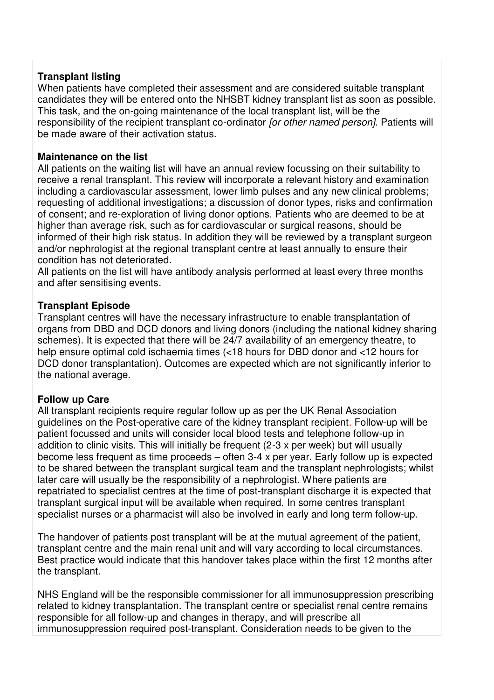## **Transplant listing**

When patients have completed their assessment and are considered suitable transplant candidates they will be entered onto the NHSBT kidney transplant list as soon as possible. This task, and the on-going maintenance of the local transplant list, will be the responsibility of the recipient transplant co-ordinator for other named person]. Patients will be made aware of their activation status.

#### **Maintenance on the list**

All patients on the waiting list will have an annual review focussing on their suitability to receive a renal transplant. This review will incorporate a relevant history and examination including a cardiovascular assessment, lower limb pulses and any new clinical problems; requesting of additional investigations; a discussion of donor types, risks and confirmation of consent; and re-exploration of living donor options. Patients who are deemed to be at higher than average risk, such as for cardiovascular or surgical reasons, should be informed of their high risk status. In addition they will be reviewed by a transplant surgeon and/or nephrologist at the regional transplant centre at least annually to ensure their condition has not deteriorated.

All patients on the list will have antibody analysis performed at least every three months and after sensitising events.

#### **Transplant Episode**

Transplant centres will have the necessary infrastructure to enable transplantation of organs from DBD and DCD donors and living donors (including the national kidney sharing schemes). It is expected that there will be  $24/7$  availability of an emergency theatre, to help ensure optimal cold ischaemia times (<18 hours for DBD donor and <12 hours for DCD donor transplantation). Outcomes are expected which are not significantly inferior to the national average.

#### **Follow up Care**

All transplant recipients require regular follow up as per the UK Renal Association guidelines on the Post-operative care of the kidney transplant recipient. Follow-up will be patient focussed and units will consider local blood tests and telephone follow-up in addition to clinic visits. This will initially be frequent (2-3 x per week) but will usually become less frequent as time proceeds – often 3-4 x per year. Early follow up is expected to be shared between the transplant surgical team and the transplant nephrologists; whilst later care will usually be the responsibility of a nephrologist. Where patients are repatriated to specialist centres at the time of post-transplant discharge it is expected that transplant surgical input will be available when required. In some centres transplant specialist nurses or a pharmacist will also be involved in early and long term follow-up.

The handover of patients post transplant will be at the mutual agreement of the patient, transplant centre and the main renal unit and will vary according to local circumstances. Best practice would indicate that this handover takes place within the first 12 months after the transplant.

NHS England will be the responsible commissioner for all immunosuppression prescribing related to kidney transplantation. The transplant centre or specialist renal centre remains responsible for all follow-up and changes in therapy, and will prescribe all immunosuppression required post-transplant. Consideration needs to be given to the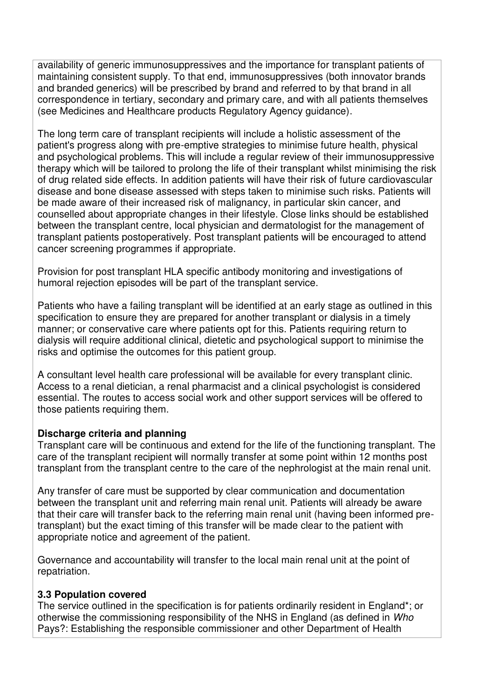availability of generic immunosuppressives and the importance for transplant patients of maintaining consistent supply. To that end, immunosuppressives (both innovator brands and branded generics) will be prescribed by brand and referred to by that brand in all correspondence in tertiary, secondary and primary care, and with all patients themselves (see Medicines and Healthcare products Regulatory Agency guidance).

The long term care of transplant recipients will include a holistic assessment of the patient's progress along with pre-emptive strategies to minimise future health, physical and psychological problems. This will include a regular review of their immunosuppressive therapy which will be tailored to prolong the life of their transplant whilst minimising the risk of drug related side effects. In addition patients will have their risk of future cardiovascular disease and bone disease assessed with steps taken to minimise such risks. Patients will be made aware of their increased risk of malignancy, in particular skin cancer, and counselled about appropriate changes in their lifestyle. Close links should be established between the transplant centre, local physician and dermatologist for the management of transplant patients postoperatively. Post transplant patients will be encouraged to attend cancer screening programmes if appropriate.

Provision for post transplant HLA specific antibody monitoring and investigations of humoral rejection episodes will be part of the transplant service.

Patients who have a failing transplant will be identified at an early stage as outlined in this specification to ensure they are prepared for another transplant or dialysis in a timely manner; or conservative care where patients opt for this. Patients requiring return to dialysis will require additional clinical, dietetic and psychological support to minimise the risks and optimise the outcomes for this patient group.

A consultant level health care professional will be available for every transplant clinic. Access to a renal dietician, a renal pharmacist and a clinical psychologist is considered essential. The routes to access social work and other support services will be offered to those patients requiring them.

## **Discharge criteria and planning**

Transplant care will be continuous and extend for the life of the functioning transplant. The care of the transplant recipient will normally transfer at some point within 12 months post transplant from the transplant centre to the care of the nephrologist at the main renal unit.

Any transfer of care must be supported by clear communication and documentation between the transplant unit and referring main renal unit. Patients will already be aware that their care will transfer back to the referring main renal unit (having been informed pretransplant) but the exact timing of this transfer will be made clear to the patient with appropriate notice and agreement of the patient.

Governance and accountability will transfer to the local main renal unit at the point of repatriation.

## **3.3 Population covered**

The service outlined in the specification is for patients ordinarily resident in England\*; or otherwise the commissioning responsibility of the NHS in England (as defined in Who Pays?: Establishing the responsible commissioner and other Department of Health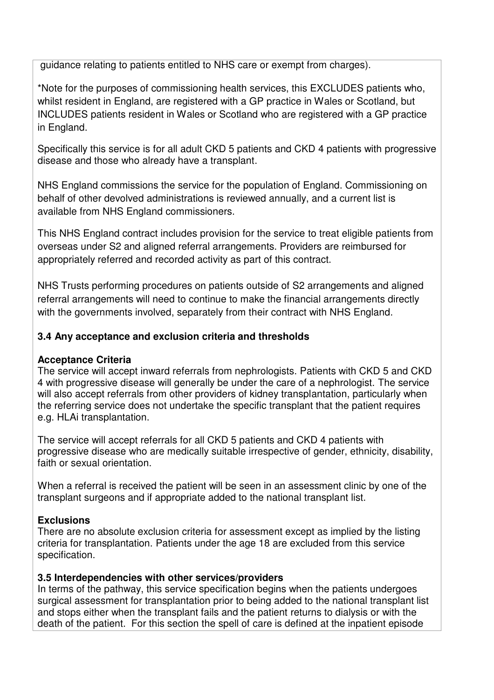guidance relating to patients entitled to NHS care or exempt from charges).

\*Note for the purposes of commissioning health services, this EXCLUDES patients who, whilst resident in England, are registered with a GP practice in Wales or Scotland, but INCLUDES patients resident in Wales or Scotland who are registered with a GP practice in England.

Specifically this service is for all adult CKD 5 patients and CKD 4 patients with progressive disease and those who already have a transplant.

NHS England commissions the service for the population of England. Commissioning on behalf of other devolved administrations is reviewed annually, and a current list is available from NHS England commissioners.

This NHS England contract includes provision for the service to treat eligible patients from overseas under S2 and aligned referral arrangements. Providers are reimbursed for appropriately referred and recorded activity as part of this contract.

NHS Trusts performing procedures on patients outside of S2 arrangements and aligned referral arrangements will need to continue to make the financial arrangements directly with the governments involved, separately from their contract with NHS England.

## **3.4 Any acceptance and exclusion criteria and thresholds**

## **Acceptance Criteria**

The service will accept inward referrals from nephrologists. Patients with CKD 5 and CKD 4 with progressive disease will generally be under the care of a nephrologist. The service will also accept referrals from other providers of kidney transplantation, particularly when the referring service does not undertake the specific transplant that the patient requires e.g. HLAi transplantation.

The service will accept referrals for all CKD 5 patients and CKD 4 patients with progressive disease who are medically suitable irrespective of gender, ethnicity, disability, faith or sexual orientation.

When a referral is received the patient will be seen in an assessment clinic by one of the transplant surgeons and if appropriate added to the national transplant list.

## **Exclusions**

There are no absolute exclusion criteria for assessment except as implied by the listing criteria for transplantation. Patients under the age 18 are excluded from this service specification.

## **3.5 Interdependencies with other services/providers**

In terms of the pathway, this service specification begins when the patients undergoes surgical assessment for transplantation prior to being added to the national transplant list and stops either when the transplant fails and the patient returns to dialysis or with the death of the patient. For this section the spell of care is defined at the inpatient episode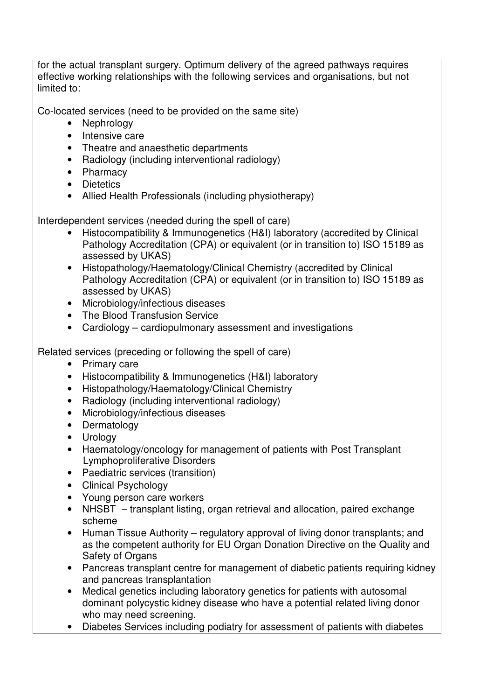for the actual transplant surgery. Optimum delivery of the agreed pathways requires effective working relationships with the following services and organisations, but not limited to:

Co-located services (need to be provided on the same site)

- Nephrology
- Intensive care
- Theatre and anaesthetic departments
- Radiology (including interventional radiology)
- Pharmacy
- Dietetics
- Allied Health Professionals (including physiotherapy)

Interdependent services (needed during the spell of care)

- Histocompatibility & Immunogenetics (H&I) laboratory (accredited by Clinical Pathology Accreditation (CPA) or equivalent (or in transition to) ISO 15189 as assessed by UKAS)
- Histopathology/Haematology/Clinical Chemistry (accredited by Clinical Pathology Accreditation (CPA) or equivalent (or in transition to) ISO 15189 as assessed by UKAS)
- Microbiology/infectious diseases
- The Blood Transfusion Service
- Cardiology cardiopulmonary assessment and investigations

Related services (preceding or following the spell of care)

- Primary care
- Histocompatibility & Immunogenetics (H&I) laboratory
- Histopathology/Haematology/Clinical Chemistry
- Radiology (including interventional radiology)
- Microbiology/infectious diseases
- Dermatology
- Urology
- Haematology/oncology for management of patients with Post Transplant Lymphoproliferative Disorders
- Paediatric services (transition)
- Clinical Psychology
- Young person care workers
- NHSBT transplant listing, organ retrieval and allocation, paired exchange scheme
- Human Tissue Authority regulatory approval of living donor transplants; and as the competent authority for EU Organ Donation Directive on the Quality and Safety of Organs
- Pancreas transplant centre for management of diabetic patients requiring kidney and pancreas transplantation
- Medical genetics including laboratory genetics for patients with autosomal dominant polycystic kidney disease who have a potential related living donor who may need screening.
- Diabetes Services including podiatry for assessment of patients with diabetes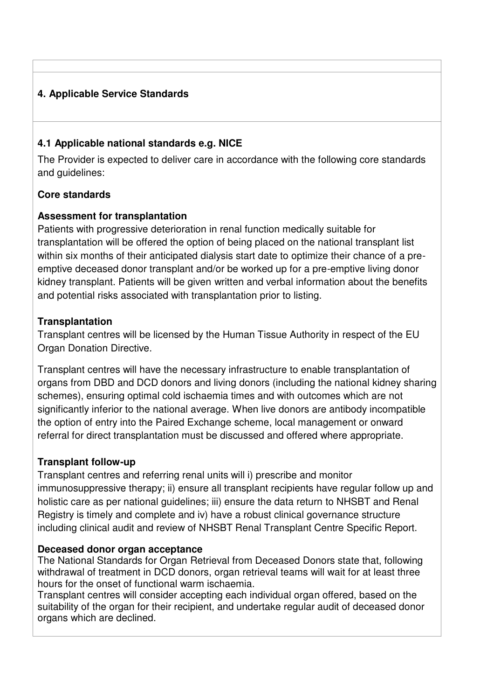# **4. Applicable Service Standards**

## **4.1 Applicable national standards e.g. NICE**

The Provider is expected to deliver care in accordance with the following core standards and guidelines:

## **Core standards**

## **Assessment for transplantation**

Patients with progressive deterioration in renal function medically suitable for transplantation will be offered the option of being placed on the national transplant list within six months of their anticipated dialysis start date to optimize their chance of a preemptive deceased donor transplant and/or be worked up for a pre-emptive living donor kidney transplant. Patients will be given written and verbal information about the benefits and potential risks associated with transplantation prior to listing.

## **Transplantation**

Transplant centres will be licensed by the Human Tissue Authority in respect of the EU Organ Donation Directive.

Transplant centres will have the necessary infrastructure to enable transplantation of organs from DBD and DCD donors and living donors (including the national kidney sharing schemes), ensuring optimal cold ischaemia times and with outcomes which are not significantly inferior to the national average. When live donors are antibody incompatible the option of entry into the Paired Exchange scheme, local management or onward referral for direct transplantation must be discussed and offered where appropriate.

## **Transplant follow-up**

Transplant centres and referring renal units will i) prescribe and monitor immunosuppressive therapy; ii) ensure all transplant recipients have regular follow up and holistic care as per national guidelines; iii) ensure the data return to NHSBT and Renal Registry is timely and complete and iv) have a robust clinical governance structure including clinical audit and review of NHSBT Renal Transplant Centre Specific Report.

## **Deceased donor organ acceptance**

The National Standards for Organ Retrieval from Deceased Donors state that, following withdrawal of treatment in DCD donors, organ retrieval teams will wait for at least three hours for the onset of functional warm ischaemia.

Transplant centres will consider accepting each individual organ offered, based on the suitability of the organ for their recipient, and undertake regular audit of deceased donor organs which are declined.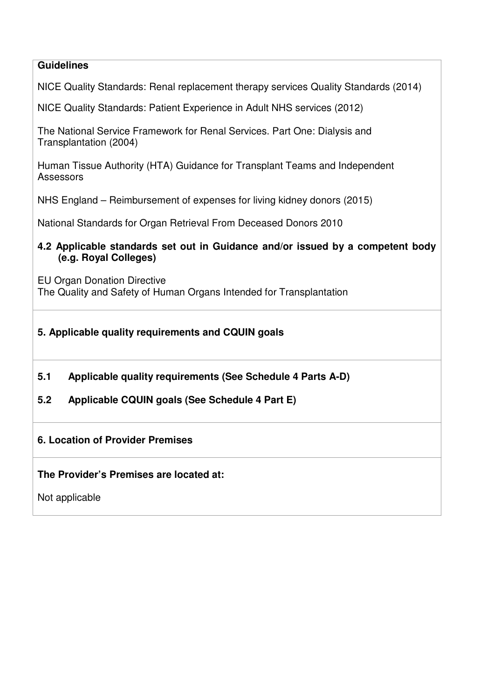## **Guidelines**

NICE Quality Standards: Renal replacement therapy services Quality Standards (2014)

NICE Quality Standards: Patient Experience in Adult NHS services (2012)

The National Service Framework for Renal Services. Part One: Dialysis and Transplantation (2004)

Human Tissue Authority (HTA) Guidance for Transplant Teams and Independent Assessors

NHS England – Reimbursement of expenses for living kidney donors (2015)

National Standards for Organ Retrieval From Deceased Donors 2010

#### **4.2 Applicable standards set out in Guidance and/or issued by a competent body (e.g. Royal Colleges)**

EU Organ Donation Directive The Quality and Safety of Human Organs Intended for Transplantation

## **5. Applicable quality requirements and CQUIN goals**

- **5.1 Applicable quality requirements (See Schedule 4 Parts A-D)**
- **5.2 Applicable CQUIN goals (See Schedule 4 Part E)**

## **6. Location of Provider Premises**

**The Provider's Premises are located at:**

Not applicable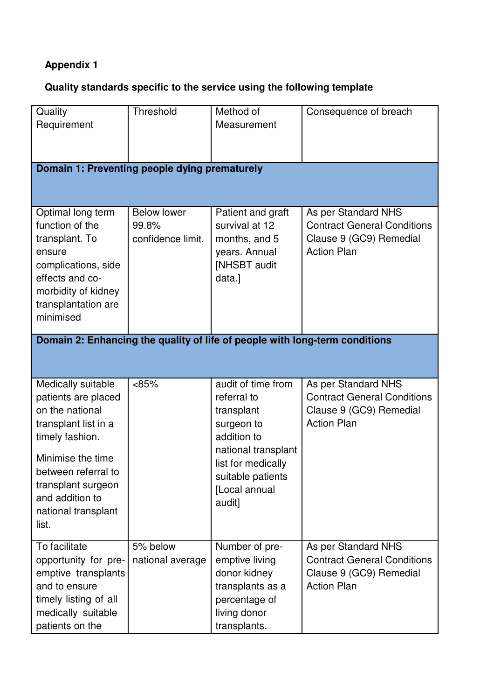# **Appendix 1**

# **Quality standards specific to the service using the following template**

| Quality<br>Requirement                                                                                                                                                                                                       | Threshold                                        | Method of<br>Measurement                                                                                                                                                  | Consequence of breach                                                                                      |  |  |  |  |
|------------------------------------------------------------------------------------------------------------------------------------------------------------------------------------------------------------------------------|--------------------------------------------------|---------------------------------------------------------------------------------------------------------------------------------------------------------------------------|------------------------------------------------------------------------------------------------------------|--|--|--|--|
| Domain 1: Preventing people dying prematurely                                                                                                                                                                                |                                                  |                                                                                                                                                                           |                                                                                                            |  |  |  |  |
| Optimal long term<br>function of the<br>transplant. To<br>ensure<br>complications, side<br>effects and co-<br>morbidity of kidney<br>transplantation are<br>minimised                                                        | <b>Below lower</b><br>99.8%<br>confidence limit. | Patient and graft<br>survival at 12<br>months, and 5<br>years. Annual<br>[NHSBT audit<br>data.]                                                                           | As per Standard NHS<br><b>Contract General Conditions</b><br>Clause 9 (GC9) Remedial<br><b>Action Plan</b> |  |  |  |  |
| Domain 2: Enhancing the quality of life of people with long-term conditions                                                                                                                                                  |                                                  |                                                                                                                                                                           |                                                                                                            |  |  |  |  |
| Medically suitable<br>patients are placed<br>on the national<br>transplant list in a<br>timely fashion.<br>Minimise the time<br>between referral to<br>transplant surgeon<br>and addition to<br>national transplant<br>list. | <85%                                             | audit of time from<br>referral to<br>transplant<br>surgeon to<br>addition to<br>national transplant<br>list for medically<br>suitable patients<br>[Local annual<br>audit] | As per Standard NHS<br><b>Contract General Conditions</b><br>Clause 9 (GC9) Remedial<br><b>Action Plan</b> |  |  |  |  |
| To facilitate<br>opportunity for pre-<br>emptive transplants<br>and to ensure<br>timely listing of all<br>medically suitable<br>patients on the                                                                              | 5% below<br>national average                     | Number of pre-<br>emptive living<br>donor kidney<br>transplants as a<br>percentage of<br>living donor<br>transplants.                                                     | As per Standard NHS<br><b>Contract General Conditions</b><br>Clause 9 (GC9) Remedial<br><b>Action Plan</b> |  |  |  |  |